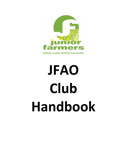

**Building Leaders. Building Communities.** 

# **JFAO Club Handbook**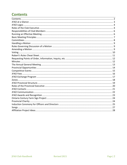## <span id="page-1-0"></span>**Contents**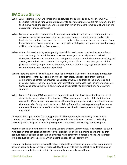## <span id="page-2-0"></span>**JFAO at a Glance**

- **Who** Junior Farmers (JFAO) welcomes anyone between the ages of 15 and 29 as of January 1. Members tend to be rural youth, but contrary to our name many of us are not farmers, and by the time we finish the program, we're not all that junior! Members come from all walks of life, occupations, and backgrounds.
- **What** Members form clubs and participate in a variety of activities in their home communities and with other members from across the province. We compete in sports and cultural events, fundraise for charities, take road trips to community centers around the corner or hours from home for dances, travel abroad and host international delegates, and generally have fun doing all kinds of activities from East to West.
- **When** At the club level, activity varies greatly. Most clubs meet once a month with any number of activities during the month between business meetings. Provincially, events are held throughout the year and members can participate in as much or as little as they are willing and able to, within their own schedule. Like anything else in life, what members get out of the program is directly proportional to what they put in. So don't be shy – get out to events and reap the benefits that membership offers!
- **Where** There are active JF clubs in several counties in Ontario. Clubs meet in members' homes, fair board offices, schools, or community halls. From there, activities take them into their community and across the province in a variety of ways. In addition to the many local and provincial events, the inter-provincial and international exchanges take Junior Farmers across Canada and around the world each year and bring guests into our members' homes every summer.
- **Why** For over 75 years, JFAO has played an important role in the development of leaders most visibly in the rural and agricultural sector. JFAO alumni know the value of the training they received in JF and support our continued efforts to help shape the next generation of leaders. Our alumni also fondly recall the fun and lifelong friendships that began during their time as members. The real beauty of Junior Farmers is that the skill development is disguised in so much fun!

JFAO provides opportunities for young people of all backgrounds, but especially those in rural Ontario, to take on the challenge of exploring their individual talents and potential to develop personally while being involved in improving their communities, networking, and having fun.

Members are guided by the motto "Building Leaders. Building Communities." and mission "to build rural leaders through personal growth, travel, experiences, and community betterment." as they conduct positive social and educational activities which satisfy their personal needs and interests while conducting service projects which meet the needs of their community.

Programs and opportunities provided by JFAO and its affiliated clubs help to develop in members a sense of social and environmental responsibility, the ability to provide effective leadership, and an awareness of good citizenship within the community and world around them.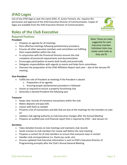JFAO Club Handbook Revised 2021 Page | 4

# <span id="page-3-0"></span>**JFAO Logos**

Use of any JFAO logo or seal, the name JFAO, JF, Junior Farmers, etc. requires the permission and approval of the JFAO Executive Director of Communication. Copies of logos are available from the JFAO Executive Director of Communication.

## <span id="page-3-1"></span>**Roles of the Club Executive**

## **Required Positions**

### **President**

- Prepares an agenda for all meetings
- Runs effective meetings following parliamentary procedure
- Ensures all other executive members and committees are fulfilling their responsibilities within the club
- In conjunction with the Provincial Director ensures the club completes all provincial requirements and documentation
- Encourages participation at events both locally and provincially
- Delegates responsibilities with regards to events and helps form committees
- Oversees the preparation of the JFAO Affiliation Report each year due at the January PD meeting

#### **Vice-President**

- Fulfills the role of President at meetings if the President is absent
	- o Preparation of an agenda
	- o Ensuring proper parliamentary procedure is followed
- Assists as required to ensure a properly functioning club
- Generally is elected President the following year

#### **Treasurer**

- Keeps clear records of monetary transactions within the club
- Makes deposits and pays bills
- Liaison with bank as needed
- Presents a list of transactions and bills that are due at the meetings for the members to vote on
- Updates club signing authority as Club Executive changes after the Annual Meeting
- Prepares an audited year-end financial report that is required by JFAO due January 31

#### **Secretary**

- Takes detailed minutes at club meetings and maintains club records
- Sends minutes to club members for review well before the next meeting
- Prepares a contact list of club members to ensure that everyone stays in contact
- Handles club correspondence (i.e. thank you cards, etc)
- Ensures updated Club Executive information is sent to JFAO's Executive Director of Programming promptly after the Club's Annual General Meeting

Note: These are tasks suggested for each Executive member. Individual clubs may rotate some tasks as they see fit.

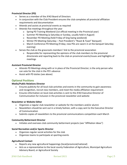#### **Provincial Director (PD)**

- Serves as a member of the JFAO Board of Directors
- In conjunction with the Club President ensures the club completes all provincial affiliation requirements and documentation
- Attends and assists at provincial events as required
- Attends five meetings throughout the year
	- o Spring PD Training Weekend (1st official meeting in the Provincial year)
	- o Summer PD Meeting (a Saturday or Sunday, usually held in August)
	- o November PD Meeting (held Friday of Sing Swing weekend)
	- o Winter PD Meeting (Saturday Past President's "Roast & Toast" Banquet)
	- o March Conference PD Meeting (Friday; new PDs are sworn in at the banquet Saturday evening)
- Serves the club as the grassroots members' link to the provincial association
	- $\circ$  Responsible for representing the opinions of the club members to the provincial directorate and reporting back to the club on provincial events/issues and highlights of meetings

#### **Assistant Provincial Director**

- Attends PD Meetings along with or in place of the Provincial Director; is the only person who can vote for the club in the PD's absence
- Assist with PD duties (see above)

#### **Optional Positions**

#### **Media/Public Relations Director**

- Ensures publicity for all local club activities and events in the community to gain awareness and recognition, recruit new members, and meet the media affiliation requirement
- Ensures information on local club activities is sent to the JFAO Executive Director of Communication for inclusion in the provincial newsletter and website

#### **Newsletter or Website Editor**

- Organizes a regular club newsletter or website for the members and/or alumni
- Newsletters should be sent out in a timely fashion, with a copy sent to the Executive Director of Communication
- Submits copies of newsletters to the provincial communications competition each March

#### **Community Betterment Director**

• Initiates and oversees club community betterment projects (see "Affiliation Ideas")

#### **Social Recreation and/or Sports Director**

- Organizes regular social activities for the club
- Organizes teams to participate at sporting events

#### **Agricultural Contact**

- Reports any new agricultural happenings (local/provincial/national)
- Acts as a representative to the local county Federation of Agriculture, Municipal Agriculture Advisory Board, or Agricultural Society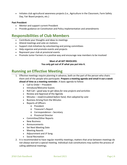• Initiates club agricultural awareness projects (i.e., Agriculture in the Classroom, Farm Safety Day, Fair Board projects, etc.)

#### **Past President**

- Mentor and support current President
- Provide guidance on Constitution and Policy implementation and amendments

## <span id="page-5-0"></span>**Responsibilities of Club Members**

- Contribute your thoughts and ideas to meetings
- Attend meetings and vote on motions
- Support club initiatives by volunteering and joining committees
- Help organize and promote events and projects
- Represent your club at provincial events
- Promote Junior Farmers in a positive way and encourage new members to be involved

#### **Most of all GET INVOLVED.**

#### **You only get out of JF what you put into it.**

## <span id="page-5-1"></span>**Running an Effective Meeting**

- 1. Effective meetings require planning in advance, both on the part of the person who chairs them and of the people who participate. **Prepare a meeting agenda and email it out a week ahead of time as a meeting reminder.** A basic agenda to follow:
	- Call to Order President
	- Introduce/Welcome Guests
	- Roll Call *good way to get ideas for new projects and activities*
	- Review and Approval of the Agenda
	- Minutes *read/circulated before hand, then adopted by vote*
	- Business Arising from the Minutes
	- Reports of Officers
		- o President
		- o Treasurer's Report
		- o Correspondence Secretary
		- o Provincial Director
	- Committee/Other Reports
	- New Business
	- Announcements
	- Set Next Meeting Date
	- Meeting Awards
	- Adjournment and JF Song
	- Social Recreation
- 2. It is recommended to have regular monthly meetings; matters that arise between meetings do not always warrant a special meeting. Individual club constitutions may outline the process of calling additional meetings.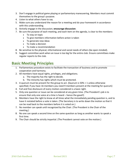- 3. Don't engage in political game playing or parliamentary maneuvering. Members must commit themselves to the group's purpose.
- 4. Listen to what others have to say.
- 5. Make sure you understand the reason for a meeting and do your homework in accordance with this understanding.
- 6. Actively engage in the discussion; **encourage discussion**.
- 7. Be sure the purpose of each meeting, and each item on the agenda, is clear to the members:
	- To stay on topic
	- To give members information before action is taken
	- To generate new ideas
	- To make a decision
	- To make a recommendation
- 8. Be sensitive to the physical, informational and social needs of others (be open minded).
- 9. Suggest committee work when an issue is too big for the entire club. Ensure committees make regular reports to the club.

## <span id="page-6-0"></span>**Basic Meeting Principles**

- 1. Parliamentary procedure exists to facilitate the transaction of business and to promote cooperation and harmony.
- 2. All members have equal rights, privileges, and obligations.
	- a. The majority has the right to decide.
	- b. The minority has rights which must be protected.
- 3. A quorum must be present for the group to act. (Quorum is 50% + 1 unless otherwise specified; if you have 16 members you need 9 members present at the meeting for quorum)
- 4. Full and free disclosure of every motion considered is a basic right.
- 5. Only one question or issue can be considered at any given time. (The President's job is to ensure that only one voice at a time is heard – hence the gavel!)
- 6. Members have the right to know at all times what the immediately pending question is, and to have it restated before a vote is taken. (The Secretary is to write down the motion so that it can be read back to the members before it is voted on.)
- 7. No member can speak until recognized by the Chair. (The President is the Chair of the meeting.)
- 8. No one can speak a second time on the same question as long as another wants to speak a first time.
- 9. The Chair should be strictly impartial. (The President cannot vote on the motion.)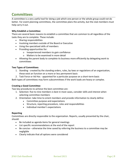## <span id="page-7-0"></span>**Committees**

A committee is a very useful tool for doing a job which one person or the whole group could not do better. For event planning committees, the committee plans the activity, but the club members must help carry it out.

#### **Why Establish a Committee:**

There are several basic reasons to establish a committee that are common to all regardless of the tasks they are to complete. These include:

- Sharing responsibilities
- Involving members outside of the Board or Executive
- Using the specialized skills of members
- Providing opportunities for:
	- o Inexperienced members to gain confidence
	- o Matters to be examined in more detail
- Allowing the parent body to complete its business more efficiently by delegating work to committees

#### **Two Types of Committees**

- 1. Standing created by the standing orders, rules, by-laws or regulations of an organization, these exist an function on a more or less permanent basis
- 2. Task Force or Ad Hoc appointed for a particular purpose on a short-term basis

Both types of committees may form subcommittees if the work loads are heavy or complex.

#### **Creating a Good Committee**

Two key procedures to achieve the best committee are:

- 1. Selection: five to nine members is best in most cases, consider skills and interest when selecting committee members
- 2. Orientation: take time to orient members and provide information to clearly define:
	- Committee purpose and expectations
	- Structure, reporting procedure, roles and responsibilities
	- Individual member's expectations

#### **Reporting**

Committees are directly responsible to the organization. Reports, usually presented by the chair, should:

- Be included as agenda items for general meetings
- List specific recommendations at the end of the report
- Be concise otherwise the time saved by referring the business to a committee may be negligible
- Clearly indicate that all options were considered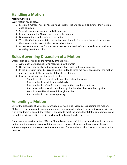## <span id="page-8-0"></span>**Handling a Motion**

#### **Making A Motion**

Every motion has six steps:

- 1. Motion: a member rises or raises a hand to signal the Chairperson, and states their motion once called on
- 2. Second: another member seconds the motion
- 3. Restate motion: the Chairperson restates the motion
- 4. Discussion: the members discuss the motion
- 5. Vote: the Chairperson restates the motion, and first asks for votes in favour of the motion, then asks for votes against, then for any abstentions
- 6. Announce the vote: the Chairperson announces the result of the vote and any action items resulting from the motion

## <span id="page-8-1"></span>**Rules Governing Discussion of a Motion**

Smaller groups may relax on the formality of these rules.

- 1. A member may not speak until recognized by the Chair.
- 2. No member may be allowed to speak more than twice to the same motion.
- 3. In the interest of time, discussions may be limited to three members speaking for the motion and three against. This should be stated ahead of time.
- 4. Proper respect in discussions must be observed:
	- o Remarks must be relevant to the question before the group.
	- o Speakers should speak loudly and clearly.
	- o Speakers should refrain from attacking another member's motives.
	- $\circ$  Speakers can disagree with another's opinion but should respect their opinion.
	- o Remarks should be addressed through the Chair.
	- o Speakers should stand when speaking.

## <span id="page-8-2"></span>**Amending a Motion**

During the discussion of a motion, information may come up that requires updating the motion. Motions can be amended by any member, must be seconded, and must be passed by a majority vote. If an amendment is passed, the motion is changed to meet the amendment. If the amendment is not passed, the original motion remains unchanged, and must then be voted on.

Some organizations (including JFAO) use "friendly amendments." If the person who made the original motion and the seconder agree with the suggested changes, the amended motion may be voted on without a separate vote to approve the amendment. The amended motion is what is recorded in the minutes.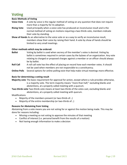## <span id="page-9-0"></span>**Voting**

#### **Basic Methods of Voting**

- **Voice Vote** A vote by voice is the regular method of voting on any question that does not require more than a majority for its adoption.
- **Rising Vote** Used principally when a voice vote has produced an inconclusive result and is the normal method of voting on motions requiring a two-thirds vote, members indicate their vote by standing.
- **Show of Hands** As an alternative to the voice vote or as a way to verify an inconclusive result, members show their voice by raising their hand. A vote by show of hands should be limited to very small meetings.

#### **Other methods which may be ordered:**

- **Ballot** Voting by ballot is used when secrecy of the member's votes is desired. Voting by ballot is sometimes required in certain cases by the bylaws of an organization. Any vote relating to charged or proposed charges against a member or an officer should always be by ballot.
- **Roll Call** A roll call vote has the effect of placing on record how each member votes. It should not be used when members are not responsible to a constituency.
- **Online Polls** Several options for online polling exist that help make virtual meetings more effective.

#### **Basis for determining a voting result**

**Majority vote** The basic requirement for approval for action, except where a rule provides otherwise, is a majority vote. The term majority means "more than half," excluding blanks and abstentions, at a properly called meeting with a quorum.

**Two-thirds vote** Two-thirds vote means at least two-thirds of the votes cast, excluding blanks and abstentions, at a properly called meeting with quorum.

#### Modifications

- Majority of the members present (or two-thirds of...)
- Majority of the entire membership (or two-thirds of…)

#### **Reasons for Abstaining from Voting**

Abstaining from a vote means you are not voting for or against the motion being made. This may be done for reasons including:

- Missing a meeting so not voting to approve the minutes of that meeting
- Conflict of interest (i.e. personal benefit from the results of a motion)
- Not having enough information to make a decision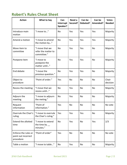## <span id="page-10-0"></span>**Robert's Rules Cheat Sheet**

| <b>Action</b>                                            | <b>What to Say</b>                                    | Can<br>Interrupt<br>Speaker? | Need a<br>Second? | Can be<br>Debated? | Can be<br>Amended? | <b>Votes</b><br><b>Needed</b> |
|----------------------------------------------------------|-------------------------------------------------------|------------------------------|-------------------|--------------------|--------------------|-------------------------------|
| Introduce main<br>motion                                 | "I move to"                                           | <b>No</b>                    | Yes               | Yes                | Yes                | Majority                      |
| Amend a motion                                           | "I move to amend<br>the motion by"                    | <b>No</b>                    | Yes               | Yes                | Yes                | Majority                      |
| Move item to<br>committee                                | "I move that we<br>refer the matter to<br>committee." | <b>No</b>                    | Yes               | Yes                | <b>No</b>          | Majority                      |
| Postpone item                                            | "I move to<br>postpone the<br>matter until"           | <b>No</b>                    | Yes               | Yes                | <b>No</b>          | Majority                      |
| End debate                                               | "I move the<br>previous question."                    | <b>No</b>                    | Yes               | Yes                | <b>No</b>          | Majority                      |
| Object to<br>procedure                                   | "Point of order."                                     | Yes                          | <b>No</b>         | <b>No</b>          | <b>No</b>          | Chair<br>decision             |
| Recess the meeting                                       | "I move that we<br>recess until"                      | <b>No</b>                    | Yes               | No                 | <b>No</b>          | Majority                      |
| Adjourn the<br>meeting                                   | "I move to adjourn<br>the meting."                    | <b>No</b>                    | Yes               | No                 | No                 | Majority                      |
| Request<br>information                                   | "Point of<br>information."                            | Yes                          | <b>No</b>         | No                 | No                 | No vote                       |
| Overrule the Chair's<br>ruling                           | "I move to overrule<br>the Chair's ruling."           | Yes                          | Yes               | Yes                | No                 | Majority                      |
| <b>Extend the allotted</b><br>time                       | "I move to extend<br>the time by $\_\_$<br>minutes."  | <b>No</b>                    | Yes               | No                 | Yes                | 2/3                           |
| Enforce the rules or<br>point out incorrect<br>procedure | "Point of order"                                      | Yes                          | <b>No</b>         | No                 | <b>No</b>          | No vote                       |
| Table a motion                                           | "I move to table"                                     | No                           | Yes               | No                 | No                 | Majority                      |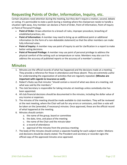## <span id="page-11-0"></span>**Requesting Points of Order, Information, Inquiry, etc.**

Certain situations need attention during the meeting, but they don't require a motion, second, debate or voting. It's permissible to state a point during a meeting where the chairperson needs to handle a situation right away. Any member can declare a Point of Order, Point of Information, Point of Inquiry or Point of Personal Privilege.

- **Point of Order:** Draws attention to a breach of rules, improper procedure, breaching of established practices, etc.
- **Point of Information:** A member may need to bring up an additional point or additional information (in the form of a non-debatable statement) so that the other members can make fully informed votes.
- **Point of Inquiry:** A member may use point of inquiry to ask for clarification in a report to make better voting decisions.
- **Point of Personal Privilege:** A member may use point of personal privilege to address the physical comfort of the setting such as temperature or noise. Members may also use it to address the accuracy of published reports or the accuracy of a member's conduct.

## <span id="page-11-1"></span>**Minutes**

- 1. Minutes are the official records of what has happened and the decisions made at a meeting. They provide a reference for those in attendance and those absent. They are extremely useful for understanding the organization of activities that are regularly repeated. **(Minutes are important with regards to insurance as well).**
- 2. Robert's Rules say that minutes "should contain a record of what was done at a meeting, not what was said by the members."
- 3. The club Secretary is responsible for taking minutes at meetings unless somebody else has been appointed.
- 4. All club financial decisions should be documented in the minutes, including the dollar value of any income or expenses.
- 5. The minutes of the meeting should be made available to club members. They will be reviewed at the next meeting, where the Chair will ask for any errors or omissions, and then a vote will be taken on the (amended, if necessary) minutes. Once approved, these are the official record of what happened at the meeting.
- 6. Minutes should contain:
	- a. the name of the group, board or committee
	- b. the date, time, and place of the meeting
	- c. the name of the Chair and the minute taker
	- d. a record of attendance
	- e. approval of the minutes from the previous meeting
- 7. The body of the minutes should contain a separate heading for each subject matter. Motions and decisions should be clearly stated. The President and secretary or recorder signs the official copy of the approved minutes once approved.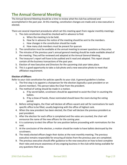## <span id="page-12-0"></span>**The Annual General Meeting**

The Annual General Meeting should be a time to review what the club has achieved and accomplished in the past year. At this meeting, constitution changes are made and a new executive is elected.

There are several important procedures which set this meeting apart from regular monthly meetings:

- 1. The club constitution should be checked well in advance to find:
	- a. When the meeting is to be held.
	- b. How far in advance the notice of the meeting should be sent to the members.
	- c. How changes in the constitution should be made
	- d. How many club members must be present for quorum
- 2. The constitution must be available at the annual meeting to answer questions as they arise.
- 3. The minutes of the previous year's annual general meeting should be made available ahead of the meeting. They will be reviewed and adopted at the Annual General Meeting.
- 4. The treasurer's report will have to be audited and it read and adopted. This report should contain all the business transactions of the past year.
- 5. Election of new Executive and Directors for the upcoming club year takes place.
- 6. This is a good opportunity to take a club photo and a new executive photo to meet that affiliation requirement.

#### **Election of Officers**

Refer to your club constitution for policies specific to your club. A general guideline is below.

- 1. The first step is to appoint a chairperson for the election (typically a past president or an alumni member). This person takes the Chair from the president.
- 2. The method of voting should be made in a motion.
	- a. If by secret ballot, scrutineers should be appointed to assist the Chair in counting the ballots.
	- b. If by a show of hands, those nominated should leave the room during the voting period.
- 3. Before voting begins, the Chair will declare all offices vacant and call for nominations for each specific office to be filled, usually beginning with the office of highest rank.
- 4. When the new president has been elected, the Chair will declare the previous president as past president.
- 5. After the election for each office is completed and the votes are counted, the chair will announce the name of the new officers for the coming year.
- 6. It is customary to elect the officer for one position before proceeding with nominations for the next.
- 7. At the conclusion of the election, a motion should be made to have ballots destroyed by the scrutineers.
- 8. The newly elected officers begin their duties at the next monthly meeting. The previous executive remains responsible for ensuring all duties from the previous year are completed.
- 9. The previous executive should offer guidance to the new executive on how to best complete their roles and ensure awareness of any ongoing business in the club while being available for any questions that arise.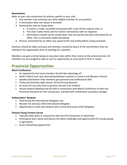#### **Nominations**

Refer to your club constitution for policies specific to your club.

- 1. Any member may nominate any other eligible member for any position.
- 2. A nomination does not require a seconder.
- 3. Nominations may be closed when
	- a. A motion is made, seconded and passed with a two-thirds majority vote, or
	- b. The Chair makes three calls for further nominations with no response.
	- c. Nominations should not be closed when only one person has been nominated for an office. This is commonly called railroading.
- 4. Persons nominated for an office may speak to the club briefly before voting proceeds.

Elections should be taken seriously and members should be aware of the commitment they are making to the organization prior to standing for a position.

Members can gain a lot by taking on executive roles within their club or at the provincial level. All members are encouraged to take on such an opportunity at some point in their JF career.

## <span id="page-13-0"></span>**Provincial Opportunities**

#### **March Conference**

- An opportunity that every member should take advantage of!
- Held in March each year alternating between locations in Eastern and Western Ontario
- Speakers/facilitators help members gain personal and professional skills
- Friday and Saturday night dances, formal Annual Banquet
- So much fun you only have to go once and you'll be hooked!
- Annual General Meeting may be held in conjunction with March Conference to elect the Provincial Executive for the coming year, and deal with constitution and policy changes

#### **Ambassadors' Banquet**

- Held during the international delegates visit
- Reunion for previous JFAO international delegates
- Opportunity to meet and network with current & previous JFAO delegates

#### **Ontario Young Farmers Forum**

- Typically takes place in conjunction with the OFA Convention in November
- Participants learn about and discuss the latest challenges and opportunities for young people in agriculture
- Great networking opportunity!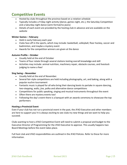## <span id="page-14-0"></span>**Competitive Events**

- Hosted by clubs throughout the province based on a rotation schedule
- Typically includes a Friday night activity (dance, games night, etc.), the Saturday Competition and a Saturday night dance (semi-formal/no jeans)
- Details of each event are provided by the hosting club in advance and are available on the website

#### **Winter Games – February**

- Held in early February each year
- Clubs face off in the sports, which may include: basketball, volleyball, floor hockey, soccer and badminton, and maybe a mystery event
- Awards for the competition winners are given at the dance

#### **Autumn Profile – October**

- Usually held at the end of October
- Teams of four rotate through several stations testing overall knowledge and skill
- Activities may include: animal nutrition, machinery repair, obstacle courses, and livestock judging to name a few!

#### **Sing Swing – November**

- Usually held at the end of November.
- Several fair-style competitions are held including photography, art, and baking, along with a popular euchre tournament
- Fantastic music is played for all who bring their dancing boots to partake in square dancing, two-stepping, waltz, jive, polka and alternative dance competitions
- Competitions for public speaking, singing and musical instruments throughout the event
- Often there are mystery events too!
- Following the day's event there is a banquet with an awards ceremony to showcase the top performers

#### **Hosting a Provincial Event**

Even if your club has not run a provincial event in the past, the JFAO Executive and other members are here to support you! It is always exciting to see clubs try new things and we want to help you succeed.

Clubs wanting to host a JFAO Competitive Event will need to submit a proposal and budget to the Executive Director of Programming for the JFAO Executive to approve. This usually happens two Board Meetings before the event takes place.

Full host club and JFAO responsibilities are outlined in the JFAO Policies. Refer to these for more information.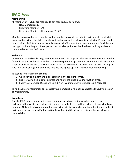## <span id="page-15-0"></span>**JFAO Fees**

**Membership** All members of JF clubs are required to pay fees to JFAO as follows: New Members: \$30 Returning Members: \$45 Returning Members after January 31: \$55

Membership provides each member with a membership card, the right to participate in provincial events and activities, the right to apply for travel opportunities, discounts at selected JF events and opportunities, liability insurance, awards, provincial office, event and program support for clubs, and the opportunity to be part of a respected provincial organization that has been building leaders and communities for over 100 years.

#### **Perkopolis**

JFAO offers the Perkopolis program for its members. The program offers exclusive offers and benefits for you! Use your Perkopolis membership to enjoy great savings on entertainment, travel, attractions, shopping, health, wellness, sport and more! It can be accessed on the website or by using the app. Be sure to take advantage of it and make sure you are signed up. It is free with your membership.

To sign up for Perkopolis discounts:

- 1. Go to perkopolis.com and click 'Register' in the top right corner.
- 2. Register using a valid email address and follow the steps in your activation email.
- 3. Enter your member ID code which is 'JFAO' + your member ID number (ex: JFAO1234).

To find out more information or to access your membership number, contact the Executive Director of Programming.

#### **Event Fees**

Specific JFAO events, opportunities, and programs each have their own additional fees for participants that will be set and specified when the budget is passed for each event, opportunity, or program. Affiliated clubs are required to support provincial events by sending at least one member to participate, or pay the specified non-attendance fee. Additional travel costs are the participant's responsibility.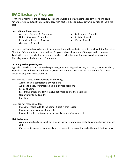## <span id="page-16-0"></span>**JFAO Exchange Program**

JFAO offers members the opportunity to see the world in a way that independent travelling could never provide. Selected trip recipients stay with host families and JFAO covers a portion of the flight cost.

#### **International Opportunities**

- Australia (Tazmania) 3 months
- United Kingdom 3 months
- Republic of Ireland  $-3$  weeks
- Germany  $-1$  month
- Switzerland 3 months
- Austria 6 weeks
- $\bullet$  Wales 2 weeks

Interested individuals can check out the information on the website or get in touch with the Executive Director of Community and International Programs about the details of the application process. Applications are typically due in February or March, with the selection process taking place the Thursday evening before March Conference.

#### **Incoming Exchange Delegates**

Typically, JFAO hosts approximately eight delegates from England, Wales, Scotland, Northern Ireland, Republic of Ireland, Switzerland, Austria, Germany, and Australia over the summer and fall. These delegates stay with JF host families.

Host families & clubs are responsible for providing:

- A safe, clean & comfortable environment
- A place to sleep, preferably a bed in a private bedroom
- Meals at home
- Safe transportation to family & club activities, and to the next host
- Opportunity to do laundry
- Free time

Hosts are not responsible for:

- Paying for meals outside the home (if kept within reason)
- Paying for long distance phone calls
- Paying delegate admission fees, personal expenses/souvenirs etc.

#### **Club Exchanges**

- A great opportunity to check out another part of Ontario and get to know members in another club
- Can be easily arranged for a weekend or longer, to be agreed upon by the participating clubs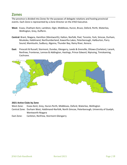## <span id="page-17-0"></span>**Zones**

The province is divided into Zones for the purposes of delegate rotations and hosting provincial events. Each Zone is represented by a Zone Director on the JFAO Executive.

- **West:** Essex, Chatham-Kent, Lambton, Elgin, Middlesex, Huron, Bruce, Oxford, Perth, Waterloo, Wellington, Grey, Dufferin.
- **Central:** Brant, Niagara, Hamilton (Wentworth), Halton, Norfolk, Peel, Toronto, York, Simcoe, Durham, Muskoka, Haldimand, Northumberland, Kawartha Lakes, Peterborough, Haliburton, Parry Sound, Manitoulin, Sudbury, Algoma, Thunder Bay, Rainy River, Kenora.
- **East:** Prescott & Russell, Stormont, Dundas, Glengarry, Leeds & Grenville, Ottawa (Carleton), Lanark, Renfrew, Frontenac, Lennox & Addington, Hastings, Prince Edward, Nipissing, Timiskaming, Cochrane.



#### **2021 Active Clubs by Zone**

West Zone: Essex-Kent, Grey, Huron-Perth, Middlesex, Oxford, Waterloo, Wellington

Central Zone: Durham West, Haldimand-Norfolk, North Simcoe, Peterborough, University of Guelph, Wentworth-Niagara

East Zone: Carleton, Renfrew, Stormont-Glengarry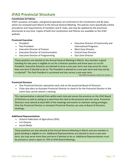## <span id="page-18-0"></span>**JFAO Provincial Structure**

#### **Constitution & Policies**

JFAO's purpose, principles, and general operation are enshrined in the Constitution and By-laws, which are reviewed each March at the Annual General Meeting. The policies more specifically outline procedures and requirements of members and JF clubs, and may be updated by the provincial directorate at any time. Copies of both the Constitution and Policies are available on the JFAO website.

#### **Provincial Executive**

- President
- Past President
- Executive Director of Finance
- Executive Director of Communication
- Executive Director of Programming
- Executive Director of Community and International Programs
- West Zone Director
- Central Zone Director
- East Zone Director

These positions are elected at the Annual General Meeting in March. Any member in good standing for two years is eligible to run for a Director position and three years to run for President. Executive Directors are elected to serve a one-year term, but may serve for more than one term if elected to do so. The President is elected to a one-year term and may not be re-elected\*. The Past President is acclaimed and also serves a one-year term.

\*See JFAO Constitution Article VII, Section 1

#### **Provincial Directors**

- One Provincial Director represents each club on the provincial Board of Directors
- Clubs also elect an Assistant Provincial Director to stand in for the Provincial Director in the event they cannot attend a meeting

This representative is elected from within each club and serves the province on the JFAO Board of Directors as well as acting as a voice from the club to the province and vice versa. Provincial Directors must attend at least 60% of the meetings and events to maintain voting privileges. Only the Provincial Director or Assistant Provincial Director can vote at Board of Directors meetings.

#### **Additional Representatives**

- Ontario Federation of Agriculture (OFA)
- 4-H Ontario
- Social Media

These positions are also elected at the Annual General Meeting in March and any member in good standing is eligible to run. Additional Representatives are elected to serve a one-year term, but may serve more than one term if elected to do so. Additional Representatives must be present or send a report to 75% of JFAO Board Meetings.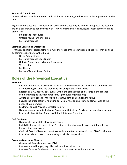#### **Provincial Committees**

JFAO may have several committees and task forces depending on the needs of the organization at the time.

Regular committees are listed below, but other committees may be formed throughout the year and are an excellent way to get involved with JFAO. All members are encouraged to join committees and task forces.

- Policies and Procedures
- Ontario Young Farmers' Forum
- March Conference

#### **Staff and Contracted Employees**

JFAO hires additional personnel to help fulfil the needs of the organization. These roles may be filled by committees or be vacant at times.

- Office Administrator
- March Conference Coordinator
- Ontario Young Farmers Forum Coordinator
- Webmaster
- Bookkeeper
- Bullhorn/Annual Report Editor

## <span id="page-19-0"></span>**Roles of the Provincial Executive**

#### **President**

- Ensures that provincial executive, directors, and committees are functioning cohesively and accomplishing set tasks and that all bylaws and policies are followed
- Represents JFAO at provincial events within the organization and at large in the broader community (especially with other rural/agricultural organizations)
- Assists all clubs, especially those who are struggling or attempting to revive
- Ensures the organization is following our vision, mission and strategic plan, as well as the needs of our members
- Facilitates annual Provincial Director training
- Oversees annual awards (Club and Agricultural Club of the Year) and membership milestones
- Reviews Club Affiliation Reports with the Affiliations Committee

#### **Past President**

- Oversees hiring of staff, office concerns, etc.
- Fulfills the President's duties if the President is absent or unable to act, or if the office of President becomes vacant
- Chairs all Board of Directors' meetings, and committees as set out in the JFAO Constitution
- Executive Liaison to assist clubs hosting provincial competitions

#### **Executive Director of Finance**

- Oversees all financial aspects of JFAO
- Prepares annual budget, pay bills, maintain financial records
- Prepares finances for the annual audit and communicates with our auditors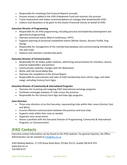- Responsible for reviewing Club Financial Reports annually
- Ensures money is added to the JFAO Endowment Fund and monitors the account
- Tracks investments and makes recommendations on changes that would benefit JFAO
- Collects club donations to be given to the chosen Provincial Charity on behalf of JFAO

#### **Executive Director of Programming**

- Responsible for all JFAO programming, including personal and leadership development and agricultural programming
- Oversees provincial events (March Conference, OYFF)
- Supports planning of provincial competitive events (Winter Games, Autumn Profile, Sing Swing)
- Responsible for management of the membership database and communicating membership lists with clubs
- Explores and maintains membership perks

#### **Executive Director of Communication**

- Responsible for all media, public relations, advertising and promotion for members, alumni, external stakeholders and partners
- Communicates websites changes with the Webmaster
- Works with the Social Media Rep
- Oversees the completion of the Annual Report
- Responsible for procurement and sales of JFAO membership items (shirts, bags, and other swag), excluding Century Farm Signs

#### **Executive Director of Community & International Programs**

- Oversees the incoming and outgoing JFAO international exchange programs
- Facilitates exchanges between JF clubs across the province
- Responsible for the Century Farm Sign and Gate Sign programs

#### **Zone Directors**

- Three zone directors sit on the Executive, representing clubs within their zones (Central, East, and West)
- Ensures effective communication between the province and local clubs
- Supports clubs within their zone as needed
- Organizes zone social events
- Shares a portfolio with the Executive Director of Programming, Community & International Programs, or Communication

## <span id="page-20-0"></span>**JFAO Contacts**

Executive contact information can be found on the JFAO website. For general inquiries, the Office Administrator can be reached at info@jfao.on.ca

JFAO Mailing Address: 17-370 Stone Road West, PO Box 25115, Guelph ON N1G 4T4 www.jfao.on.ca 226-820-6137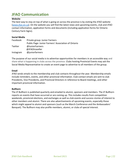## <span id="page-21-0"></span>**JFAO Communication**

#### **Website**

The best way to stay on top of what is going on across the province is by visiting the JFAO website (www.jfao.on.ca). On the website you will find the latest news and upcoming events, club and JFAO contact information, application forms and documents (including application forms for Ontario Century Farm Signs).

| <b>Social Media</b> |                                                     |  |  |  |
|---------------------|-----------------------------------------------------|--|--|--|
| Facebook            | Private group: Junior Farmers                       |  |  |  |
|                     | Public Page: Junior Farmers' Association of Ontario |  |  |  |
| Twitter             | @JuniorFarmers                                      |  |  |  |
|                     | @JFAOtraveller                                      |  |  |  |
| Instagram           | @juniorfarmers                                      |  |  |  |

The purpose of our social media is to advertise opportunities for members in an accessible way and share what is happening in clubs across the province. Clubs hosting Provincial Events may ask the Social Media Representative to create an event page to advertise to all members of the group.

#### **Email**

JFAO sends emails to the membership and club contacts throughout the year. Membership emails include reminders, events, and other provincial information. Club contact emails are sent to club Presidents, Vice Presidents, and Provincial Directors in reference to Board meetings, and other important provincial information.

#### **Bullhorn**

The JF Bullhorn is published quarterly and emailed to alumni, sponsors and members. The JF Bullhorn reports on events that have occurred or are coming up. This includes results from competition weekends, provincial elections, and exchanges as well as club events and success stories of interest to other members and alumni. There are also advertisements of upcoming events, especially those which might appeal to alumni and sponsors (such as the March Conference and the Ambassadors' Banquet). The Bullhorn may also profile members, alumni, or clubs of special interest.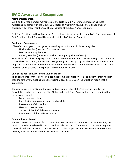## <span id="page-22-0"></span>**JFAO Awards and Recognition**

#### **Member Recognition**

5, 10, and 15-year member mementos are available from JFAO for members reaching these milestones. Together with the Executive Director of Programming, clubs should keep track of eligibility. All of these members will be recognized at the JFAO Annual Banquet.

Past Club President and Past Provincial Director lapel pins are available from JFAO. Clubs must request Past President pins. PD pins will be awarded at the JFAO Annual Banquet.

#### **President's Rose Awards**

JFAO offers a program to recognize outstanding Junior Farmers in three categories:

- Novice Member (members for 2 years or less)
- Most Outstanding Member
- Retiring Member (must have reached the upper age limit of JFAO)

Many clubs offer the same program and nominate their winners for provincial recognition. Nominees should show outstanding involvement in organizing and participating in club events, initiative in new programs, promoting JF, and member recruitment. The selection committee will consist of the JFAO President and a suitable JFAO sponsor representative or Alumni.

#### **Club of the Year and Agricultural Club of the Year**

To be considered for these awards, clubs must complete affiliation forms and submit them no later than the January PD meeting at noon. Judging is based solely upon the affiliation report that is submitted.

The judging criteria for Club of the Year and Agricultural Club of the Year can be found in the Constitution and at the end of the Club Affiliation Report Form. Some of the criteria examined for these awards include:

- Local community input
- Participation in provincial events and workshops
- Involvement of all members
- New and creative ideas
- Support of the JFAO Mission Statement
- Presentation of the affiliation booklet

#### **Communication Awards**

The JFAO Executive Director of Communication holds an annual Communications competition, the details of which are released in January and awarded at March Conference. In the past, categories have included a Scrapbook Competition, News Article Competition, Best New Member Recruitment Activity, Best Club Photo, and Best New Fundraising Idea.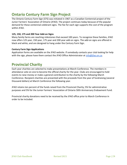## <span id="page-23-0"></span>**Ontario Century Farm Sign Project**

The Ontario Century Farm Sign (CFS) was initiated in 1967 as a Canadian Centennial project of the Junior Farmers' Association of Ontario (JFAO). The project continues today because of the popular demand for these centennial celebrant signs. The fee for each sign supports the cost of the program within JFAO.

#### **125, 150, 175 and 200 Year Add-on Signs**

Many family farms are reaching milestones that exceed 100 years. To recognize these families, JFAO now offers 125 year, 150 year, 175 year and 200 year add-on signs. The add-on signs are offered in black and white, and are designed to hang under the Century Farm Sign.

#### **Century Farm Sign Applications**

Application forms are available on the JFAO website. If somebody contacts your club looking for help with the sign, please have them contact the JFAO Office Administrator at  $info@$   $fao.$ on.ca.

## <span id="page-23-1"></span>**Provincial Charity**

Each year charities are selected to make presentations at March Conference. The members in attendance vote on one to become the official charity for the year. Clubs are encouraged to hold events to raise money or make a general contribution to the charity by the following March Conference. Recipient charities are presented with the proceeds from the year of fundraising (several thousand dollars) at March Conference the following year.

JFAO retains ten percent of the funds raised from the Provincial Charity; 5% for administrative purposes and 5% for the Junior Farmers' Association of Ontario 50th Anniversary Endowment Fund.

Provincial charity donations need to be received by the JFAO office prior to March Conference in order to be included.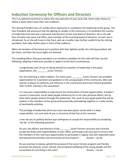## <span id="page-24-0"></span>**Induction Ceremony for Officers and Directors**

This is an optional ceremony to induct the new executive of your local club. Some clubs choose to follow it while others have their own traditions.

The retiring President has a lit candle which represents or symbolizes the leadership of the group. The Past President will announce that the lighting of candles in this ceremony is to symbolize the transfer of leadership from last year's executive and directors to the new board of directors. He or she will then introduce by name and office, each member of the incoming board of directors. As each one is introduced, he or she will move to the front, pick up a candle, have his/her candle lit by the retiring president, then take his/her place in front of the audience.

When all members of the board are in position with their lighted candle, the retiring president will join them, and then the house lights are dimmed.

The installing officer (the past president is an excellent candidate for this role) will then say the following, adapting it wherever possible to apply it to the local circumstances.

I congratulate each of you on being elected to a position of leadership in this great organization, the \_\_\_\_\_\_\_\_ Junior Farmers.

You are inheriting a noble tradition. For many years, \_\_\_\_\_\_\_\_\_\_ Junior Farmers has provided opportunities for inspiration and guidance to the young people of this community. Men and women in places of authority and influence in this community and across Ontario gratefully refer to their training in this association.

It is now your responsibility to help ensure the continuation of these opportunities. A leader's success is measured, not by what people achieve by his or her own personal efforts, but by what other people achieve through this leadership. The result of your good leadership will be evident in the members of this group enthusiastically participating together in a wide variety of worthwhile activities.

The privilege of leadership which you have now been given carries with it a deep responsibility. I am sure each of you is conscious of that fact at this moment.

I now ask you to publicly declare your willingness to accept this responsibility by answering "we do" to the following questions:

Do you, the officers and directors of the state of lunior Farmers seriously and sincerely accept the duties and responsibilities of your office, promising to do your part to ensure that the members of this club have opportunities to participate in regular and well-organized social and educational activities and community service projects? *Answer – we do.*

Do you promise to always uphold the purpose of the Junior Farmer program and thereby promote the physical, social, mental, and emotional wellbeing of the young people and the enrichment of rural living in this area? *Answer – we do.*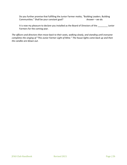Do you further promise that fulfilling the Junior Farmer motto, "Building Leaders. Building Communities." Shall be your constant goal? *Answer – we do.* 

It is now my pleasure to declare you installed as the Board of Directors of the \_\_\_\_\_\_\_\_ Junior Farmers for the coming year.

*The officers and directors then move back to their seats, walking slowly, and standing until everyone completes the singing of "This Junior Farmer Light of Mine." The house lights come back up and then the candles are blown out.*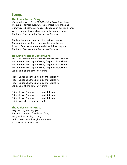## <span id="page-26-0"></span>**Songs**

#### **The Junior Farmer Song**

*Written by Margaret Watson-McColl in 1947 at Junior Farmer Camp* The Junior Farmers everywhere are marching right along Our eyes are bright, our steps are light and on our lips a song. We give our best with all our zest, in harmony we grow. The Junior Farmers in the Province of Ontario.

The land is ours, we treasure it, a heritage have we. The country is the finest place, on this we all agree. So let us face the future one and all with hearts aglow. The Junior Farmers in the Province of Ontario.

#### **This Junior Farmer Light of Mine**

*This song is used each year to induct new club and JFAO Executives* This Junior Farmer Light of Mine, I'm gonna let it shine This Junior Farmer Light of Mine, I'm gonna let it shine This Junior Farmer Light of Mine, I'm gonna let it shine Let it shine, all the time, let it shine

Hide it under a bushel, no I'm gonna let it shine Hide it under a bushel, no I'm gonna let it shine Hide it under a bushel, no I'm gonna let it shine Let it shine, all the time, let it shine

Shine all over Ontario, I'm gonna let it shine Shine all over Ontario, I'm gonna let it shine Shine all over Ontario, I'm gonna let it shine Let it shine, all the time, let it shine

#### **The Junior Farmer Grace**

*(sung to tune of Auld Lang Syne)* For Junior Farmers, friends and food, We give thee thanks, O Lord, And ask your help throughout our lives, To teach us all much more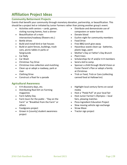## <span id="page-27-0"></span>**Affiliation Project Ideas**

#### **Community Betterment Projects**

Events that benefit your community through monetary donation, partnership, or beautification. This should be a project led or initiated by Junior Farmers rather than joining another group's event.

- Activities with seniors cards, games, visiting nursing homes, host a dinner
- Beautification of a main intersection/roadway (flowers etc.)
- Bottle drives
- Build and install bird or bat houses
- Build or paint fences, buildings, trash cans, picnic tables in parks or fairgrounds
- Car Rally
- Car Wash
- Christmas Toy Drive
- Christmas tree collection and mulching
- Clean up or adopt a roadway, park or river
- Clothing Drive
- Construct a float for a parade

#### **Agricultural Awareness**

- 4-H discovery days, etc.
- Distributing Real Dirt on Farming magazines
- Farm Safety Day
- Farm tours for the public "Day on the Farm" or "Breakfast from the Farm" or others
- Foodgrains project
- Grown in [county] student awareness project
- Distribute and demonstrate use of composters or water barrels
- Donate blood
- Euchre night for community members
- Food Drive
- Free BBQ lunch give-away
- Hazardous waste clean-up batteries, plastic bags, paint
- Mother's Day or Father's Day Brunch
- Plant trees
- Scholarships for JF and/or 4-H members
- Send a kid to camp
- Sponsor a child through World Vision or Foster Parent's Plan or adopt a family at Christmas
- Trick or Feed, Trick or Cans (collecting canned food at Hallowe'en)
- Highlight local century farms on social media
- Host a "Pedal Pull" at your local fair
- Host Junior Farmer's Olympics local fairs, plowing matches
- Pizza Ingredient Education Project
- Slow moving vehicle sign exchange
- Straw Maze
- Tractor sign project